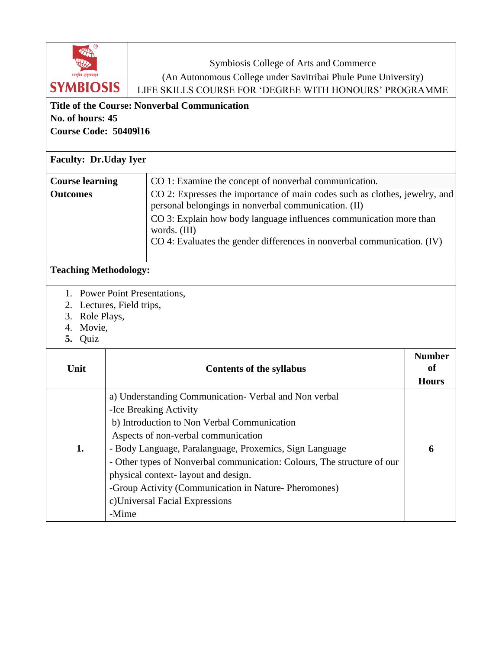| Symbiosis College of Arts and Commerce<br>।वसुधैव कुटुम्बकम्।<br>(An Autonomous College under Savitribai Phule Pune University)<br><b>SYMBIOSIS</b><br>LIFE SKILLS COURSE FOR 'DEGREE WITH HONOURS' PROGRAMME<br><b>Title of the Course: Nonverbal Communication</b><br>No. of hours: 45<br><b>Course Code: 50409116</b><br><b>Faculty: Dr.Uday Iyer</b> |                                                                                                                                                                                                                                                                                                                                                                                                                                                        |                                                                                                                                                                                                                                                                                                     |                                            |  |  |
|----------------------------------------------------------------------------------------------------------------------------------------------------------------------------------------------------------------------------------------------------------------------------------------------------------------------------------------------------------|--------------------------------------------------------------------------------------------------------------------------------------------------------------------------------------------------------------------------------------------------------------------------------------------------------------------------------------------------------------------------------------------------------------------------------------------------------|-----------------------------------------------------------------------------------------------------------------------------------------------------------------------------------------------------------------------------------------------------------------------------------------------------|--------------------------------------------|--|--|
| CO 1: Examine the concept of nonverbal communication.                                                                                                                                                                                                                                                                                                    |                                                                                                                                                                                                                                                                                                                                                                                                                                                        |                                                                                                                                                                                                                                                                                                     |                                            |  |  |
| <b>Course learning</b><br><b>Outcomes</b>                                                                                                                                                                                                                                                                                                                |                                                                                                                                                                                                                                                                                                                                                                                                                                                        | CO 2: Expresses the importance of main codes such as clothes, jewelry, and<br>personal belongings in nonverbal communication. (II)<br>CO 3: Explain how body language influences communication more than<br>words. (III)<br>CO 4: Evaluates the gender differences in nonverbal communication. (IV) |                                            |  |  |
| <b>Teaching Methodology:</b>                                                                                                                                                                                                                                                                                                                             |                                                                                                                                                                                                                                                                                                                                                                                                                                                        |                                                                                                                                                                                                                                                                                                     |                                            |  |  |
| 1. Power Point Presentations,<br>Lectures, Field trips,<br>2.<br>Role Plays,<br>3.<br>Movie,<br>4.<br>Quiz<br>5.                                                                                                                                                                                                                                         |                                                                                                                                                                                                                                                                                                                                                                                                                                                        |                                                                                                                                                                                                                                                                                                     |                                            |  |  |
| Unit                                                                                                                                                                                                                                                                                                                                                     |                                                                                                                                                                                                                                                                                                                                                                                                                                                        | <b>Contents of the syllabus</b>                                                                                                                                                                                                                                                                     | <b>Number</b><br><b>of</b><br><b>Hours</b> |  |  |
| 1.                                                                                                                                                                                                                                                                                                                                                       | a) Understanding Communication- Verbal and Non verbal<br>-Ice Breaking Activity<br>b) Introduction to Non Verbal Communication<br>Aspects of non-verbal communication<br>- Body Language, Paralanguage, Proxemics, Sign Language<br>- Other types of Nonverbal communication: Colours, The structure of our<br>physical context-layout and design.<br>-Group Activity (Communication in Nature- Pheromones)<br>c)Universal Facial Expressions<br>-Mime |                                                                                                                                                                                                                                                                                                     | 6                                          |  |  |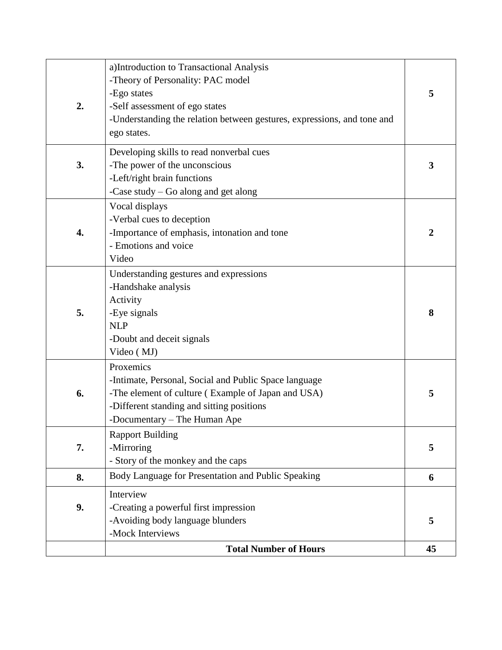| 2. | a)Introduction to Transactional Analysis<br>-Theory of Personality: PAC model<br>-Ego states<br>-Self assessment of ego states<br>-Understanding the relation between gestures, expressions, and tone and<br>ego states. | 5  |
|----|--------------------------------------------------------------------------------------------------------------------------------------------------------------------------------------------------------------------------|----|
| 3. | Developing skills to read nonverbal cues<br>-The power of the unconscious<br>-Left/right brain functions<br>-Case study - Go along and get along                                                                         | 3  |
| 4. | Vocal displays<br>-Verbal cues to deception<br>-Importance of emphasis, intonation and tone<br>- Emotions and voice<br>Video                                                                                             |    |
| 5. | Understanding gestures and expressions<br>-Handshake analysis<br>Activity<br>-Eye signals<br><b>NLP</b><br>-Doubt and deceit signals<br>Video (MJ)                                                                       | 8  |
| 6. | Proxemics<br>-Intimate, Personal, Social and Public Space language<br>-The element of culture (Example of Japan and USA)<br>-Different standing and sitting positions<br>-Documentary – The Human Ape                    | 5  |
| 7. | <b>Rapport Building</b><br>-Mirroring<br>- Story of the monkey and the caps                                                                                                                                              | 5  |
| 8. | Body Language for Presentation and Public Speaking                                                                                                                                                                       |    |
| 9. | Interview<br>-Creating a powerful first impression<br>-Avoiding body language blunders<br>-Mock Interviews                                                                                                               | 5  |
|    | <b>Total Number of Hours</b>                                                                                                                                                                                             | 45 |